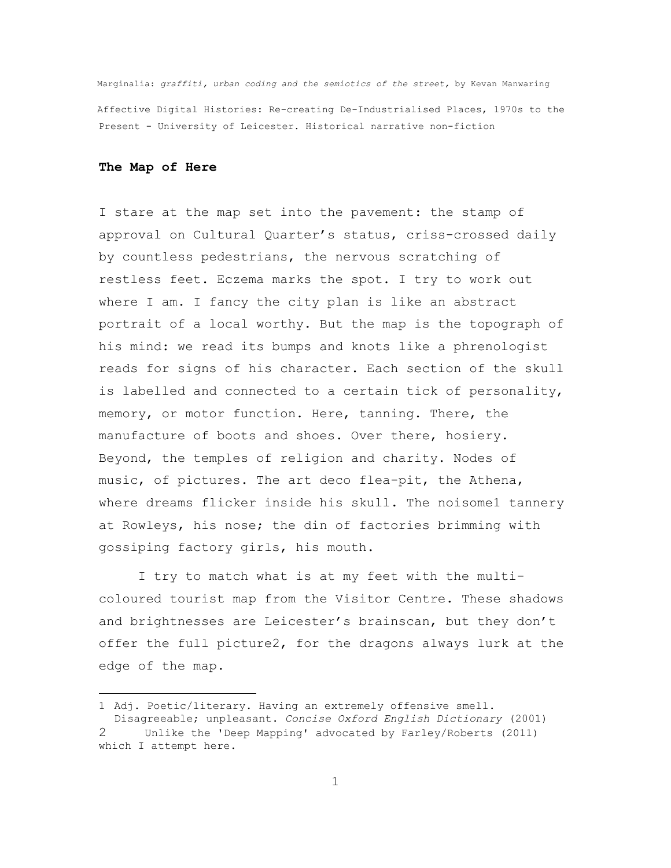Marginalia: *graffiti, urban coding and the semiotics of the street,* by Kevan Manwaring Affective Digital Histories: Re-creating De-Industrialised Places, 1970s to the Present - University of Leicester. Historical narrative non-fiction

#### **The Map of Here**

÷.

I stare at the map set into the pavement: the stamp of approval on Cultural Quarter's status, criss-crossed daily by countless pedestrians, the nervous scratching of restless feet. Eczema marks the spot. I try to work out where I am. I fancy the city plan is like an abstract portrait of a local worthy. But the map is the topograph of his mind: we read its bumps and knots like a phrenologist reads for signs of his character. Each section of the skull is labelled and connected to a certain tick of personality, memory, or motor function. Here, tanning. There, the manufacture of boots and shoes. Over there, hosiery. Beyond, the temples of religion and charity. Nodes of music, of pictures. The art deco flea-pit, the Athena, where dreams flicker inside his skull. The noisome1 tannery at Rowleys, his nose; the din of factories brimming with gossiping factory girls, his mouth.

I try to match what is at my feet with the multicoloured tourist map from the Visitor Centre. These shadows and brightnesses are Leicester's brainscan, but they don't offer the full picture2, for the dragons always lurk at the edge of the map.

<sup>1</sup> Adj. Poetic/literary. Having an extremely offensive smell. Disagreeable; unpleasant. *Concise Oxford English Dictionary* (2001) 2 Unlike the 'Deep Mapping' advocated by Farley/Roberts (2011) which I attempt here.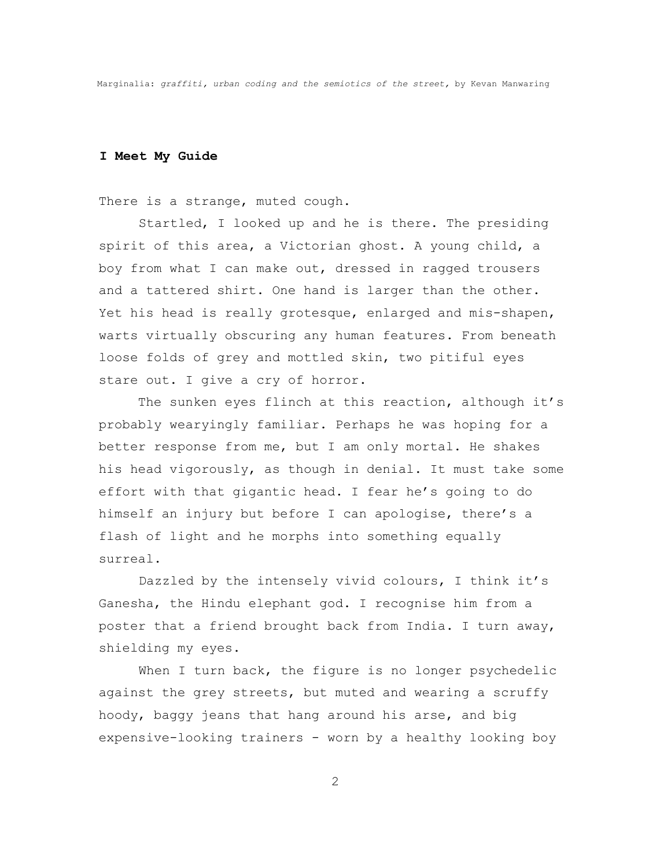### **I Meet My Guide**

There is a strange, muted cough.

Startled, I looked up and he is there. The presiding spirit of this area, a Victorian ghost. A young child, a boy from what I can make out, dressed in ragged trousers and a tattered shirt. One hand is larger than the other. Yet his head is really grotesque, enlarged and mis-shapen, warts virtually obscuring any human features. From beneath loose folds of grey and mottled skin, two pitiful eyes stare out. I give a cry of horror.

The sunken eyes flinch at this reaction, although it's probably wearyingly familiar. Perhaps he was hoping for a better response from me, but I am only mortal. He shakes his head vigorously, as though in denial. It must take some effort with that gigantic head. I fear he's going to do himself an injury but before I can apologise, there's a flash of light and he morphs into something equally surreal.

Dazzled by the intensely vivid colours, I think it's Ganesha, the Hindu elephant god. I recognise him from a poster that a friend brought back from India. I turn away, shielding my eyes.

When I turn back, the figure is no longer psychedelic against the grey streets, but muted and wearing a scruffy hoody, baggy jeans that hang around his arse, and big expensive-looking trainers - worn by a healthy looking boy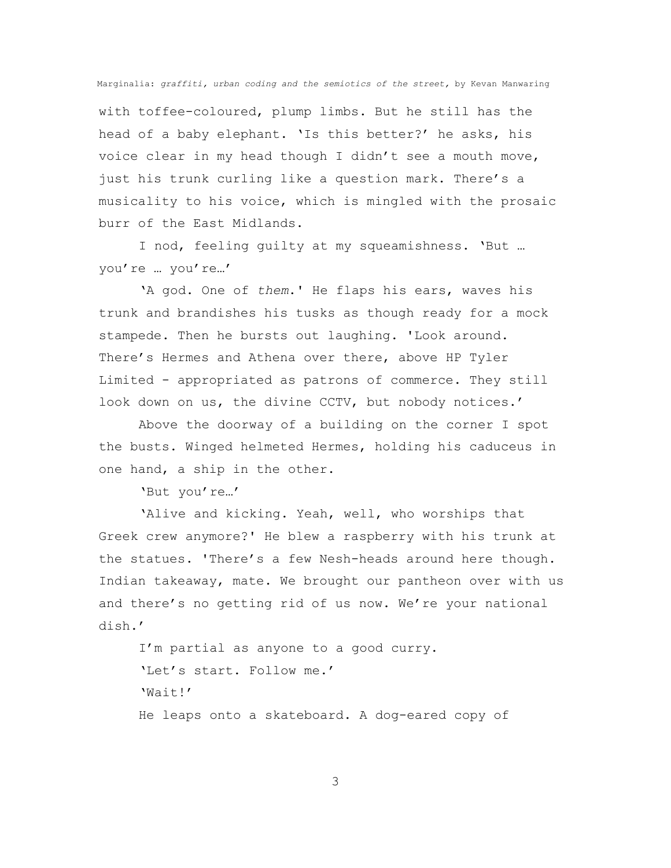with toffee-coloured, plump limbs. But he still has the head of a baby elephant. 'Is this better?' he asks, his voice clear in my head though I didn't see a mouth move, just his trunk curling like a question mark. There's a musicality to his voice, which is mingled with the prosaic burr of the East Midlands.

I nod, feeling guilty at my squeamishness. 'But … you're … you're…'

'A god. One of *them*.' He flaps his ears, waves his trunk and brandishes his tusks as though ready for a mock stampede. Then he bursts out laughing. 'Look around. There's Hermes and Athena over there, above HP Tyler Limited - appropriated as patrons of commerce. They still look down on us, the divine CCTV, but nobody notices.'

Above the doorway of a building on the corner I spot the busts. Winged helmeted Hermes, holding his caduceus in one hand, a ship in the other.

'But you're…'

'Alive and kicking. Yeah, well, who worships that Greek crew anymore?' He blew a raspberry with his trunk at the statues. 'There's a few Nesh-heads around here though. Indian takeaway, mate. We brought our pantheon over with us and there's no getting rid of us now. We're your national dish.'

I'm partial as anyone to a good curry. 'Let's start. Follow me.' 'Wait!' He leaps onto a skateboard. A dog-eared copy of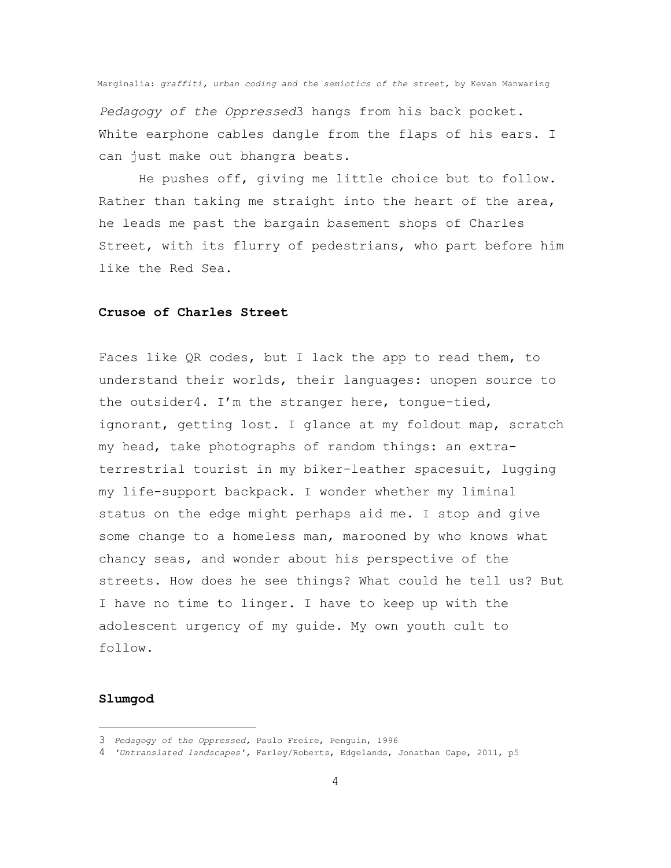*Pedagogy of the Oppressed*3 hangs from his back pocket. White earphone cables dangle from the flaps of his ears. I can just make out bhangra beats.

He pushes off, giving me little choice but to follow. Rather than taking me straight into the heart of the area, he leads me past the bargain basement shops of Charles Street, with its flurry of pedestrians, who part before him like the Red Sea.

#### **Crusoe of Charles Street**

Faces like QR codes, but I lack the app to read them, to understand their worlds, their languages: unopen source to the outsider4. I'm the stranger here, tongue-tied, ignorant, getting lost. I glance at my foldout map, scratch my head, take photographs of random things: an extraterrestrial tourist in my biker-leather spacesuit, lugging my life-support backpack. I wonder whether my liminal status on the edge might perhaps aid me. I stop and give some change to a homeless man, marooned by who knows what chancy seas, and wonder about his perspective of the streets. How does he see things? What could he tell us? But I have no time to linger. I have to keep up with the adolescent urgency of my guide. My own youth cult to follow.

### **Slumgod**

÷.

<sup>3</sup> *Pedagogy of the Oppressed,* Paulo Freire, Penguin, 1996

<sup>4</sup> *'Untranslated landscapes',* Farley/Roberts, Edgelands, Jonathan Cape, 2011, p5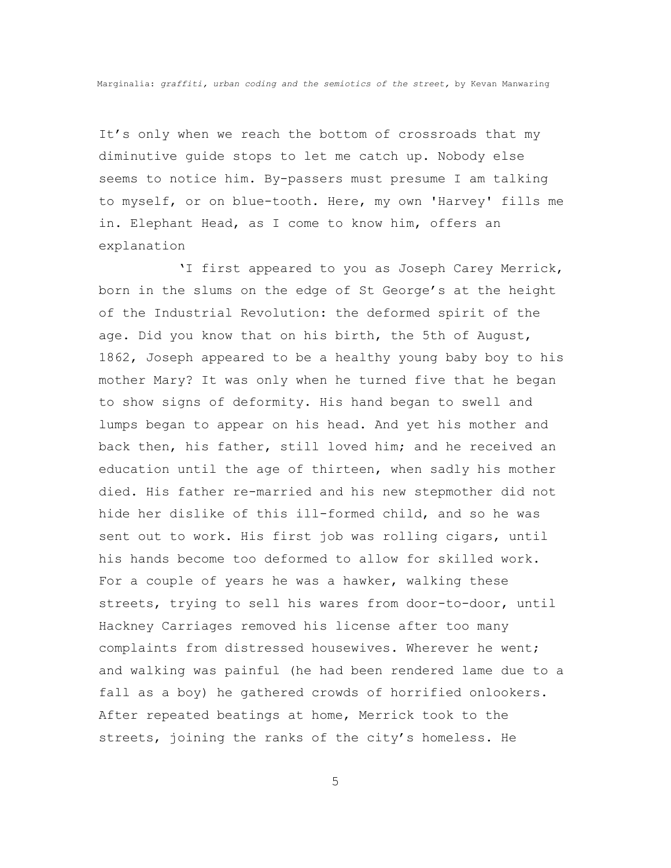It's only when we reach the bottom of crossroads that my diminutive guide stops to let me catch up. Nobody else seems to notice him. By-passers must presume I am talking to myself, or on blue-tooth. Here, my own 'Harvey' fills me in. Elephant Head, as I come to know him, offers an explanation

'I first appeared to you as Joseph Carey Merrick, born in the slums on the edge of St George's at the height of the Industrial Revolution: the deformed spirit of the age. Did you know that on his birth, the 5th of August, 1862, Joseph appeared to be a healthy young baby boy to his mother Mary? It was only when he turned five that he began to show signs of deformity. His hand began to swell and lumps began to appear on his head. And yet his mother and back then, his father, still loved him; and he received an education until the age of thirteen, when sadly his mother died. His father re-married and his new stepmother did not hide her dislike of this ill-formed child, and so he was sent out to work. His first job was rolling cigars, until his hands become too deformed to allow for skilled work. For a couple of years he was a hawker, walking these streets, trying to sell his wares from door-to-door, until Hackney Carriages removed his license after too many complaints from distressed housewives. Wherever he went; and walking was painful (he had been rendered lame due to a fall as a boy) he gathered crowds of horrified onlookers. After repeated beatings at home, Merrick took to the streets, joining the ranks of the city's homeless. He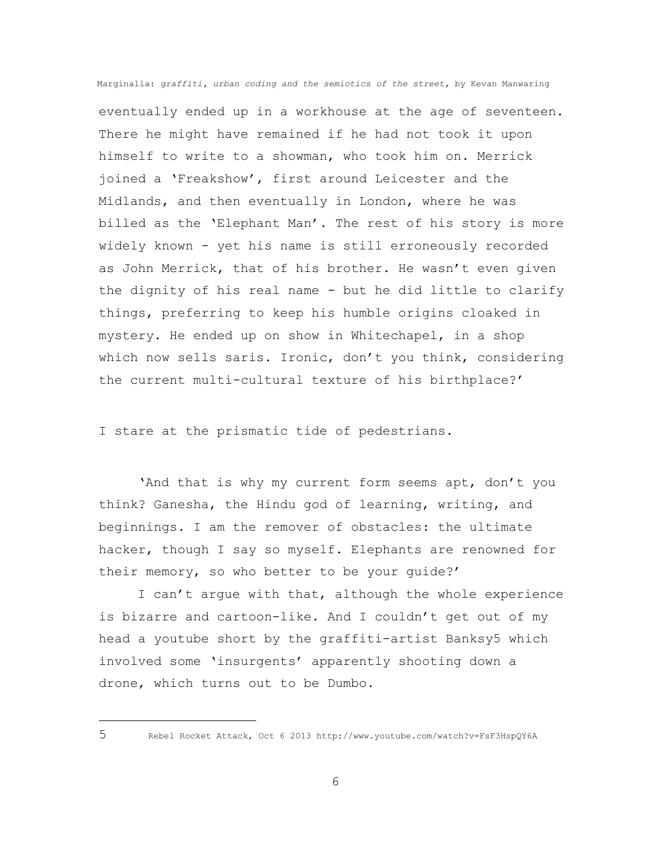eventually ended up in a workhouse at the age of seventeen. There he might have remained if he had not took it upon himself to write to a showman, who took him on. Merrick joined a 'Freakshow', first around Leicester and the Midlands, and then eventually in London, where he was billed as the 'Elephant Man'. The rest of his story is more widely known - yet his name is still erroneously recorded as John Merrick, that of his brother. He wasn't even given the dignity of his real name - but he did little to clarify things, preferring to keep his humble origins cloaked in mystery. He ended up on show in Whitechapel, in a shop which now sells saris. Ironic, don't you think, considering the current multi-cultural texture of his birthplace?'

I stare at the prismatic tide of pedestrians.

'And that is why my current form seems apt, don't you think? Ganesha, the Hindu god of learning, writing, and beginnings. I am the remover of obstacles: the ultimate hacker, though I say so myself. Elephants are renowned for their memory, so who better to be your guide?'

I can't argue with that, although the whole experience is bizarre and cartoon-like. And I couldn't get out of my head a youtube short by the graffiti-artist Banksy5 which involved some 'insurgents' apparently shooting down a drone, which turns out to be Dumbo.

÷.

<sup>5</sup> Rebel Rocket Attack, Oct 6 2013 http://www.youtube.com/watch?v=FsF3HspQY6A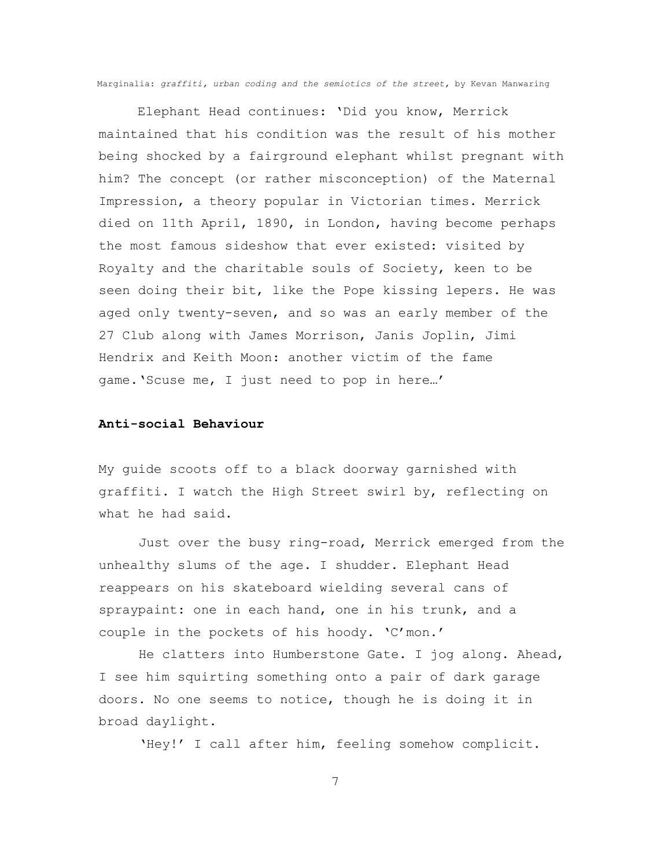Elephant Head continues: 'Did you know, Merrick maintained that his condition was the result of his mother being shocked by a fairground elephant whilst pregnant with him? The concept (or rather misconception) of the Maternal Impression, a theory popular in Victorian times. Merrick died on 11th April, 1890, in London, having become perhaps the most famous sideshow that ever existed: visited by Royalty and the charitable souls of Society, keen to be seen doing their bit, like the Pope kissing lepers. He was aged only twenty-seven, and so was an early member of the 27 Club along with James Morrison, Janis Joplin, Jimi Hendrix and Keith Moon: another victim of the fame game.'Scuse me, I just need to pop in here…'

## **Anti-social Behaviour**

My guide scoots off to a black doorway garnished with graffiti. I watch the High Street swirl by, reflecting on what he had said.

Just over the busy ring-road, Merrick emerged from the unhealthy slums of the age. I shudder. Elephant Head reappears on his skateboard wielding several cans of spraypaint: one in each hand, one in his trunk, and a couple in the pockets of his hoody. 'C'mon.'

He clatters into Humberstone Gate. I jog along. Ahead, I see him squirting something onto a pair of dark garage doors. No one seems to notice, though he is doing it in broad daylight.

'Hey!' I call after him, feeling somehow complicit.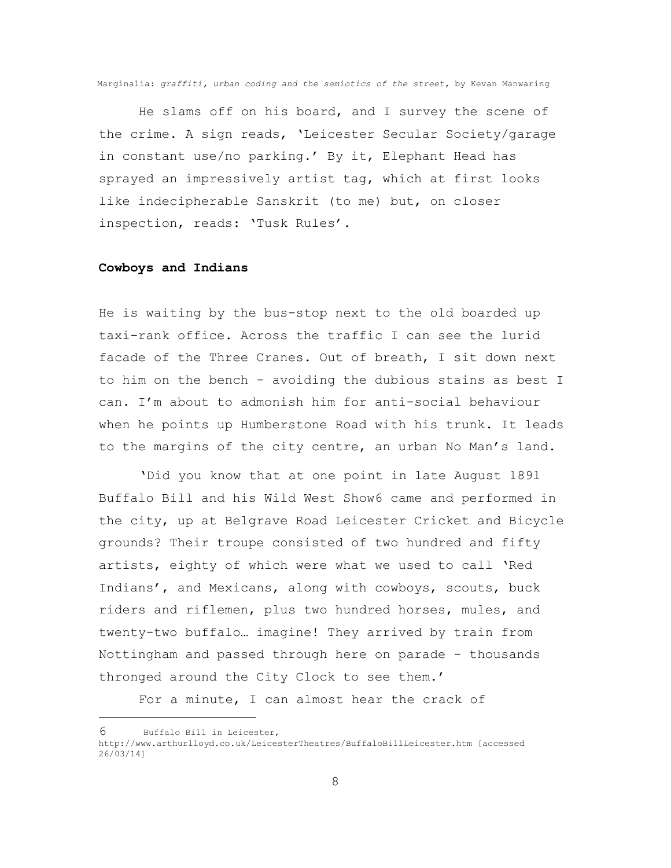He slams off on his board, and I survey the scene of the crime. A sign reads, 'Leicester Secular Society/garage in constant use/no parking.' By it, Elephant Head has sprayed an impressively artist tag, which at first looks like indecipherable Sanskrit (to me) but, on closer inspection, reads: 'Tusk Rules'.

#### **Cowboys and Indians**

He is waiting by the bus-stop next to the old boarded up taxi-rank office. Across the traffic I can see the lurid facade of the Three Cranes. Out of breath, I sit down next to him on the bench - avoiding the dubious stains as best I can. I'm about to admonish him for anti-social behaviour when he points up Humberstone Road with his trunk. It leads to the margins of the city centre, an urban No Man's land.

'Did you know that at one point in late August 1891 Buffalo Bill and his Wild West Show6 came and performed in the city, up at Belgrave Road Leicester Cricket and Bicycle grounds? Their troupe consisted of two hundred and fifty artists, eighty of which were what we used to call 'Red Indians', and Mexicans, along with cowboys, scouts, buck riders and riflemen, plus two hundred horses, mules, and twenty-two buffalo… imagine! They arrived by train from Nottingham and passed through here on parade - thousands thronged around the City Clock to see them.'

For a minute, I can almost hear the crack of

÷.

<sup>6</sup> Buffalo Bill in Leicester,

http://www.arthurlloyd.co.uk/LeicesterTheatres/BuffaloBillLeicester.htm [accessed 26/03/14]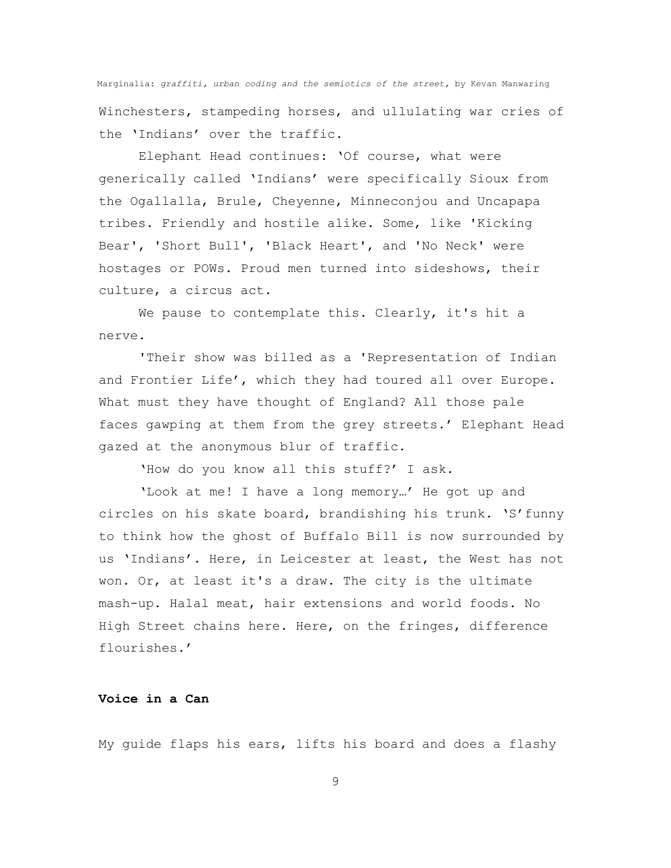Marginalia: *graffiti, urban coding and the semiotics of the street,* by Kevan Manwaring Winchesters, stampeding horses, and ullulating war cries of the 'Indians' over the traffic.

Elephant Head continues: 'Of course, what were generically called 'Indians' were specifically Sioux from the Ogallalla, Brule, Cheyenne, Minneconjou and Uncapapa tribes. Friendly and hostile alike. Some, like 'Kicking Bear', 'Short Bull', 'Black Heart', and 'No Neck' were hostages or POWs. Proud men turned into sideshows, their culture, a circus act.

We pause to contemplate this. Clearly, it's hit a nerve.

'Their show was billed as a 'Representation of Indian and Frontier Life', which they had toured all over Europe. What must they have thought of England? All those pale faces gawping at them from the grey streets.' Elephant Head gazed at the anonymous blur of traffic.

'How do you know all this stuff?' I ask.

'Look at me! I have a long memory…' He got up and circles on his skate board, brandishing his trunk. 'S'funny to think how the ghost of Buffalo Bill is now surrounded by us 'Indians'. Here, in Leicester at least, the West has not won. Or, at least it's a draw. The city is the ultimate mash-up. Halal meat, hair extensions and world foods. No High Street chains here. Here, on the fringes, difference flourishes.'

# **Voice in a Can**

My guide flaps his ears, lifts his board and does a flashy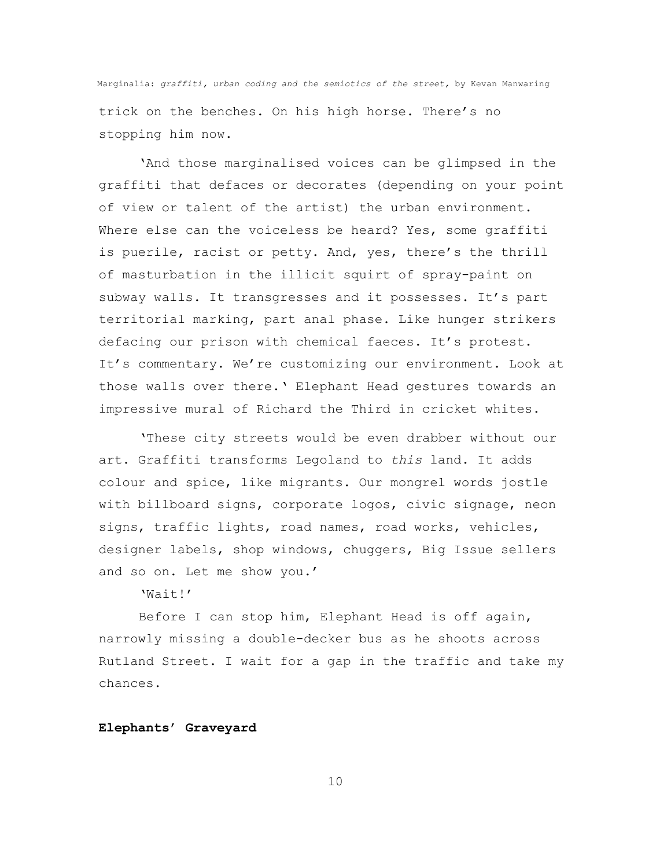Marginalia: *graffiti, urban coding and the semiotics of the street,* by Kevan Manwaring trick on the benches. On his high horse. There's no stopping him now.

'And those marginalised voices can be glimpsed in the graffiti that defaces or decorates (depending on your point of view or talent of the artist) the urban environment. Where else can the voiceless be heard? Yes, some graffiti is puerile, racist or petty. And, yes, there's the thrill of masturbation in the illicit squirt of spray-paint on subway walls. It transgresses and it possesses. It's part territorial marking, part anal phase. Like hunger strikers defacing our prison with chemical faeces. It's protest. It's commentary. We're customizing our environment. Look at those walls over there.' Elephant Head gestures towards an impressive mural of Richard the Third in cricket whites.

'These city streets would be even drabber without our art. Graffiti transforms Legoland to *this* land. It adds colour and spice, like migrants. Our mongrel words jostle with billboard signs, corporate logos, civic signage, neon signs, traffic lights, road names, road works, vehicles, designer labels, shop windows, chuggers, Big Issue sellers and so on. Let me show you.'

 $'Wair'$ 

Before I can stop him, Elephant Head is off again, narrowly missing a double-decker bus as he shoots across Rutland Street. I wait for a gap in the traffic and take my chances.

## **Elephants' Graveyard**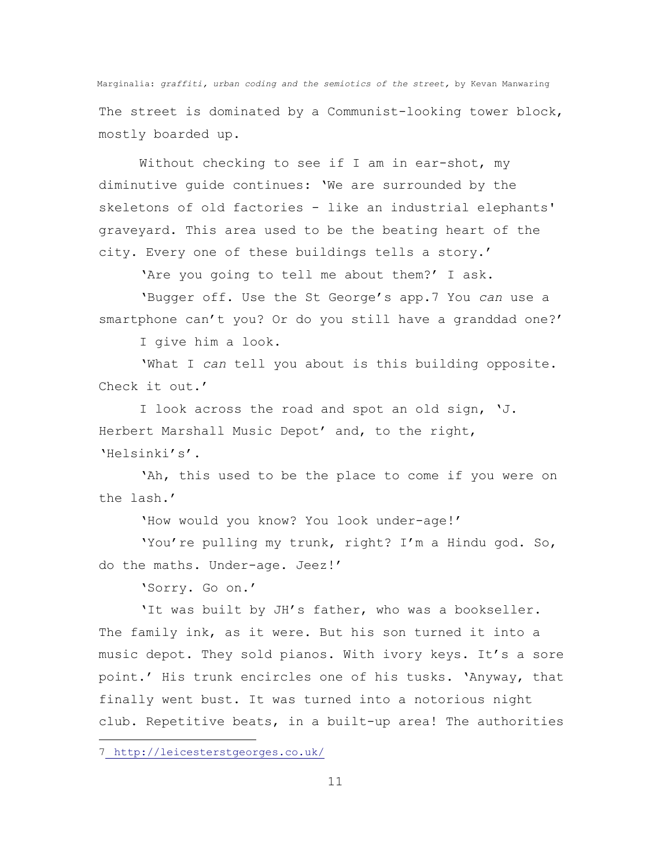The street is dominated by a Communist-looking tower block, mostly boarded up.

Without checking to see if I am in ear-shot, my diminutive guide continues: 'We are surrounded by the skeletons of old factories - like an industrial elephants' graveyard. This area used to be the beating heart of the city. Every one of these buildings tells a story.'

'Are you going to tell me about them?' I ask.

'Bugger off. Use the St George's app.7 You *can* use a smartphone can't you? Or do you still have a granddad one?'

I give him a look.

'What I *can* tell you about is this building opposite. Check it out.'

I look across the road and spot an old sign, 'J. Herbert Marshall Music Depot' and, to the right, 'Helsinki's'.

'Ah, this used to be the place to come if you were on the lash.'

'How would you know? You look under-age!'

'You're pulling my trunk, right? I'm a Hindu god. So, do the maths. Under-age. Jeez!'

'Sorry. Go on.'

'It was built by JH's father, who was a bookseller. The family ink, as it were. But his son turned it into a music depot. They sold pianos. With ivory keys. It's a sore point.' His trunk encircles one of his tusks. 'Anyway, that finally went bust. It was turned into a notorious night club. Repetitive beats, in a built-up area! The authorities

÷.

<sup>7</sup> <http://leicesterstgeorges.co.uk/>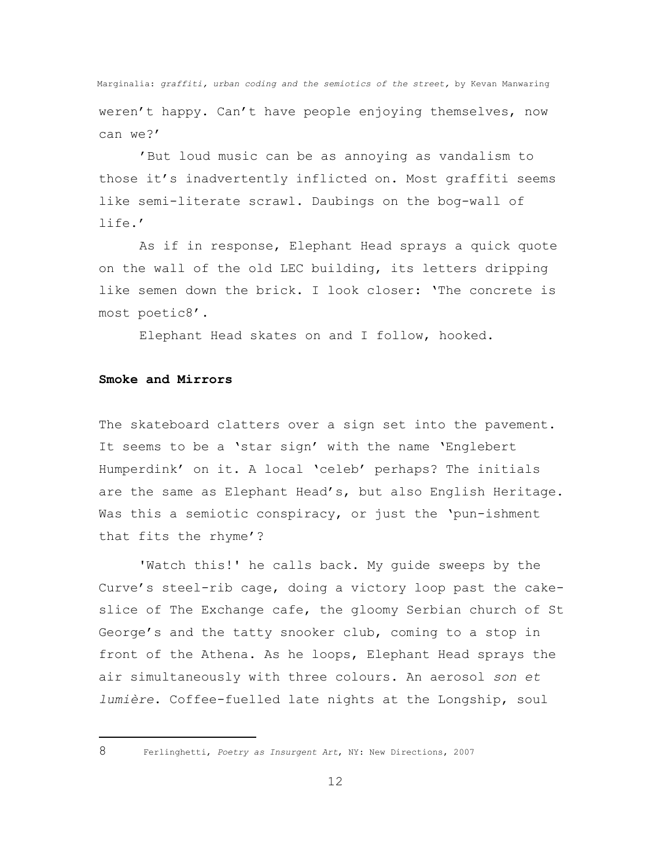Marginalia: *graffiti, urban coding and the semiotics of the street,* by Kevan Manwaring weren't happy. Can't have people enjoying themselves, now can we?'

'But loud music can be as annoying as vandalism to those it's inadvertently inflicted on. Most graffiti seems like semi-literate scrawl. Daubings on the bog-wall of life.'

As if in response, Elephant Head sprays a quick quote on the wall of the old LEC building, its letters dripping like semen down the brick. I look closer: 'The concrete is most poetic8'.

Elephant Head skates on and I follow, hooked.

### **Smoke and Mirrors**

The skateboard clatters over a sign set into the pavement. It seems to be a 'star sign' with the name 'Englebert Humperdink' on it. A local 'celeb' perhaps? The initials are the same as Elephant Head's, but also English Heritage. Was this a semiotic conspiracy, or just the 'pun-ishment that fits the rhyme'?

'Watch this!' he calls back. My guide sweeps by the Curve's steel-rib cage, doing a victory loop past the cakeslice of The Exchange cafe, the gloomy Serbian church of St George's and the tatty snooker club, coming to a stop in front of the Athena. As he loops, Elephant Head sprays the air simultaneously with three colours. An aerosol *son et lumière*. Coffee-fuelled late nights at the Longship, soul

÷.

<sup>8</sup> Ferlinghetti, *Poetry as Insurgent Art*, NY: New Directions, 2007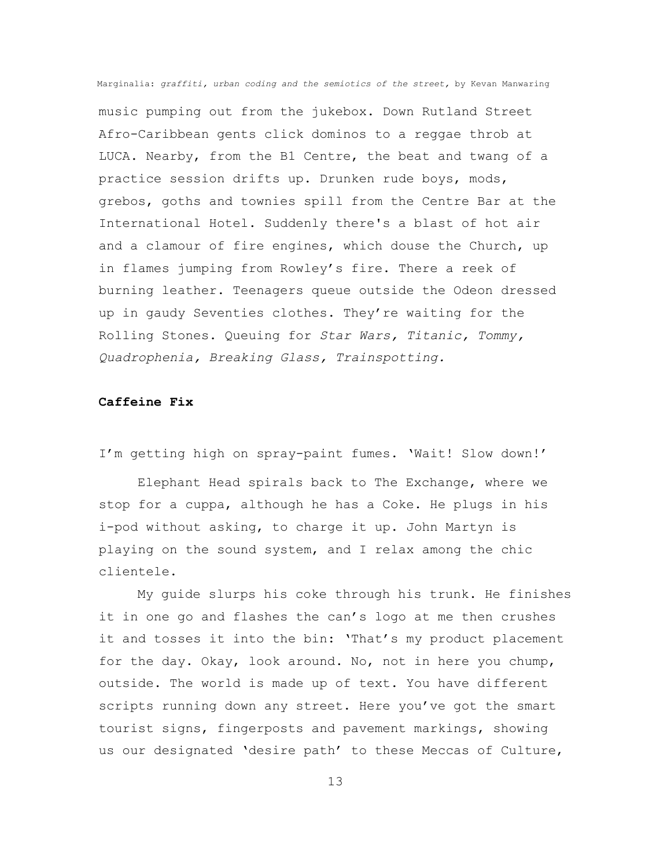music pumping out from the jukebox. Down Rutland Street Afro-Caribbean gents click dominos to a reggae throb at LUCA. Nearby, from the B1 Centre, the beat and twang of a practice session drifts up. Drunken rude boys, mods, grebos, goths and townies spill from the Centre Bar at the International Hotel. Suddenly there's a blast of hot air and a clamour of fire engines, which douse the Church, up in flames jumping from Rowley's fire. There a reek of burning leather. Teenagers queue outside the Odeon dressed up in gaudy Seventies clothes. They're waiting for the Rolling Stones. Queuing for *Star Wars, Titanic, Tommy, Quadrophenia, Breaking Glass, Trainspotting.*

### **Caffeine Fix**

I'm getting high on spray-paint fumes. 'Wait! Slow down!'

Elephant Head spirals back to The Exchange, where we stop for a cuppa, although he has a Coke. He plugs in his i-pod without asking, to charge it up. John Martyn is playing on the sound system, and I relax among the chic clientele.

My guide slurps his coke through his trunk. He finishes it in one go and flashes the can's logo at me then crushes it and tosses it into the bin: 'That's my product placement for the day. Okay, look around. No, not in here you chump, outside. The world is made up of text. You have different scripts running down any street. Here you've got the smart tourist signs, fingerposts and pavement markings, showing us our designated 'desire path' to these Meccas of Culture,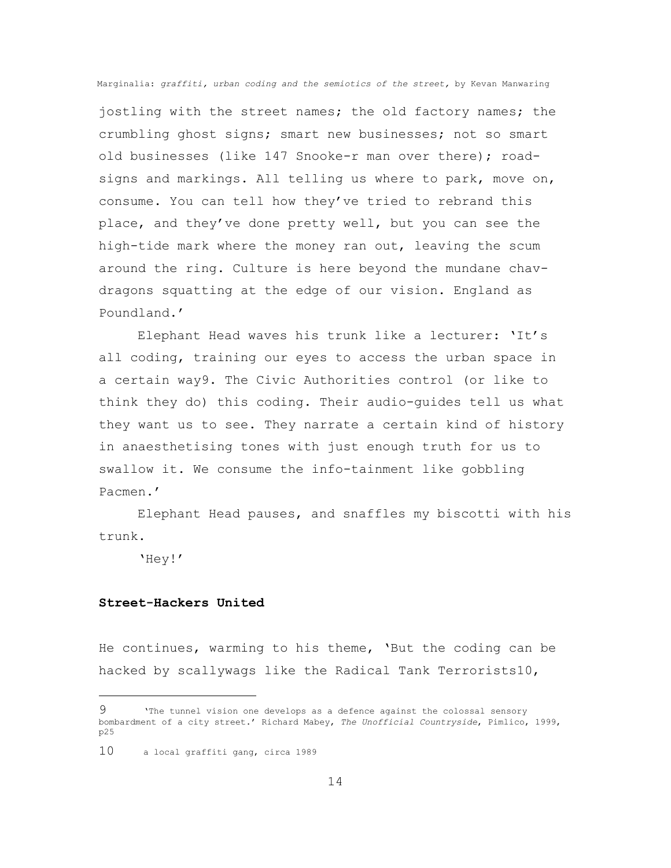jostling with the street names; the old factory names; the crumbling ghost signs; smart new businesses; not so smart old businesses (like 147 Snooke-r man over there); roadsigns and markings. All telling us where to park, move on, consume. You can tell how they've tried to rebrand this place, and they've done pretty well, but you can see the high-tide mark where the money ran out, leaving the scum around the ring. Culture is here beyond the mundane chavdragons squatting at the edge of our vision. England as Poundland.'

Elephant Head waves his trunk like a lecturer: 'It's all coding, training our eyes to access the urban space in a certain way9. The Civic Authorities control (or like to think they do) this coding. Their audio-guides tell us what they want us to see. They narrate a certain kind of history in anaesthetising tones with just enough truth for us to swallow it. We consume the info-tainment like gobbling Pacmen.'

Elephant Head pauses, and snaffles my biscotti with his trunk.

'Hey!'

÷.

## **Street-Hackers United**

He continues, warming to his theme, 'But the coding can be hacked by scallywags like the Radical Tank Terrorists10,

<sup>9</sup> 'The tunnel vision one develops as a defence against the colossal sensory bombardment of a city street.' Richard Mabey, *The Unofficial Countryside*, Pimlico, 1999, p25

<sup>10</sup> a local graffiti gang, circa 1989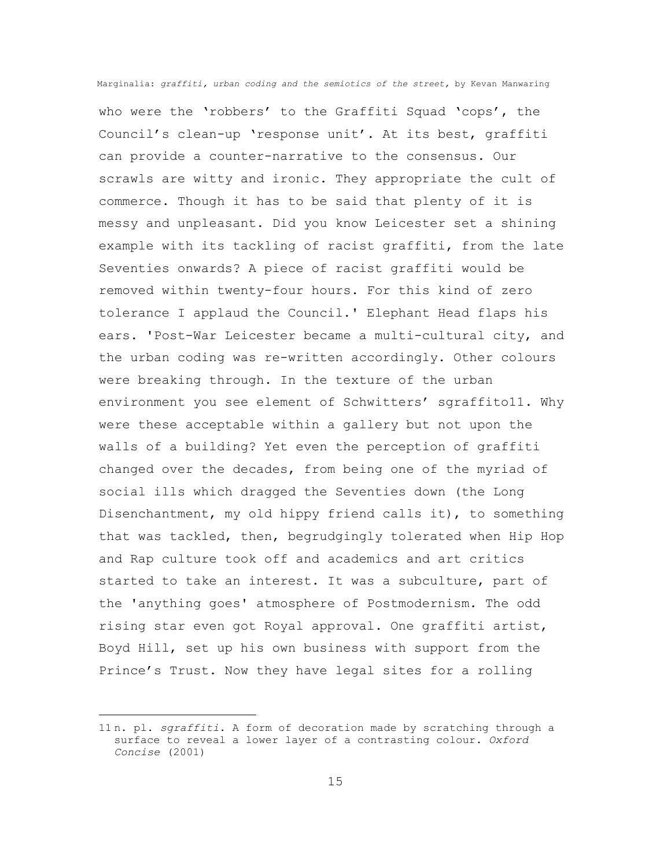who were the 'robbers' to the Graffiti Squad 'cops', the Council's clean-up 'response unit'. At its best, graffiti can provide a counter-narrative to the consensus. Our scrawls are witty and ironic. They appropriate the cult of commerce. Though it has to be said that plenty of it is messy and unpleasant. Did you know Leicester set a shining example with its tackling of racist graffiti, from the late Seventies onwards? A piece of racist graffiti would be removed within twenty-four hours. For this kind of zero tolerance I applaud the Council.' Elephant Head flaps his ears. 'Post-War Leicester became a multi-cultural city, and the urban coding was re-written accordingly. Other colours were breaking through. In the texture of the urban environment you see element of Schwitters' sgraffito11. Why were these acceptable within a gallery but not upon the walls of a building? Yet even the perception of graffiti changed over the decades, from being one of the myriad of social ills which dragged the Seventies down (the Long Disenchantment, my old hippy friend calls it), to something that was tackled, then, begrudgingly tolerated when Hip Hop and Rap culture took off and academics and art critics started to take an interest. It was a subculture, part of the 'anything goes' atmosphere of Postmodernism. The odd rising star even got Royal approval. One graffiti artist, Boyd Hill, set up his own business with support from the Prince's Trust. Now they have legal sites for a rolling

÷.

<sup>11</sup> n. pl. *sgraffiti*. A form of decoration made by scratching through a surface to reveal a lower layer of a contrasting colour. *Oxford Concise* (2001)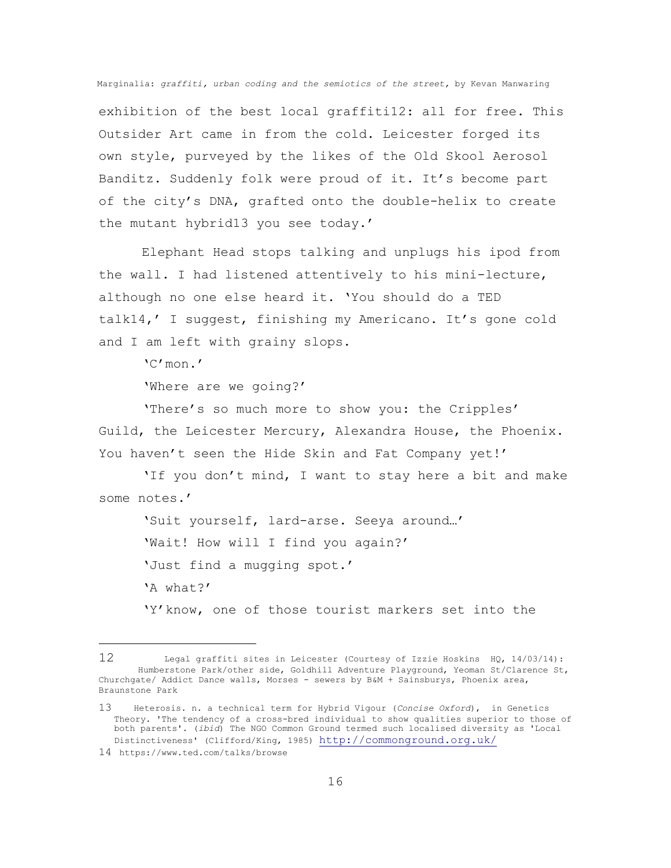exhibition of the best local graffiti12: all for free. This Outsider Art came in from the cold. Leicester forged its own style, purveyed by the likes of the Old Skool Aerosol Banditz. Suddenly folk were proud of it. It's become part of the city's DNA, grafted onto the double-helix to create the mutant hybrid13 you see today.'

Elephant Head stops talking and unplugs his ipod from the wall. I had listened attentively to his mini-lecture, although no one else heard it. 'You should do a TED talk14,' I suggest, finishing my Americano. It's gone cold and I am left with grainy slops.

'C'mon.'

'Where are we going?'

'There's so much more to show you: the Cripples' Guild, the Leicester Mercury, Alexandra House, the Phoenix. You haven't seen the Hide Skin and Fat Company yet!'

'If you don't mind, I want to stay here a bit and make some notes.'

'Suit yourself, lard-arse. Seeya around…' 'Wait! How will I find you again?' 'Just find a mugging spot.' 'A what?' 'Y'know, one of those tourist markers set into the

i<br>L

<sup>12</sup> Legal graffiti sites in Leicester (Courtesy of Izzie Hoskins HQ, 14/03/14): Humberstone Park/other side, Goldhill Adventure Playground, Yeoman St/Clarence St, Churchgate/ Addict Dance walls, Morses - sewers by B&M + Sainsburys, Phoenix area, Braunstone Park

<sup>13</sup> Heterosis. n. a technical term for Hybrid Vigour (*Concise Oxford*), in Genetics Theory. 'The tendency of a cross-bred individual to show qualities superior to those of both parents'. (*ibid*) The NGO Common Ground termed such localised diversity as 'Local Distinctiveness' (Clifford/King, 1985) <http://commonground.org.uk/>

<sup>14</sup> https://www.ted.com/talks/browse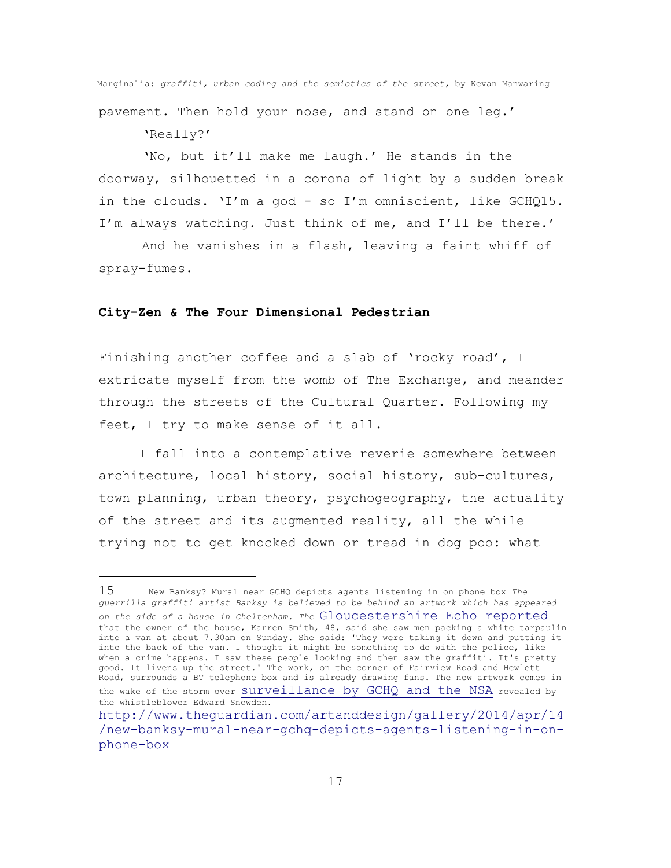Marginalia: *graffiti, urban coding and the semiotics of the street,* by Kevan Manwaring pavement. Then hold your nose, and stand on one leg.' 'Really?'

'No, but it'll make me laugh.' He stands in the doorway, silhouetted in a corona of light by a sudden break in the clouds. 'I'm a god - so I'm omniscient, like GCHQ15. I'm always watching. Just think of me, and I'll be there.'

And he vanishes in a flash, leaving a faint whiff of spray-fumes.

#### **City-Zen & The Four Dimensional Pedestrian**

i<br>L

Finishing another coffee and a slab of 'rocky road', I extricate myself from the womb of The Exchange, and meander through the streets of the Cultural Quarter. Following my feet, I try to make sense of it all.

I fall into a contemplative reverie somewhere between architecture, local history, social history, sub-cultures, town planning, urban theory, psychogeography, the actuality of the street and its augmented reality, all the while trying not to get knocked down or tread in dog poo: what

<sup>15</sup>New Banksy? Mural near GCHQ depicts agents listening in on phone box *The guerrilla graffiti artist Banksy is believed to be behind an artwork which has appeared on the side of a house in Cheltenham. The* [Gloucestershire Echo reported](http://www.gloucestershireecho.co.uk/Banksy-Cheltenham-mum-wakes-artwork-home/story-20953539-detail/story.html) that the owner of the house, Karren Smith,  $\overline{48}$ , said she saw men packing a white tarpaulin into a van at about 7.30am on Sunday. She said: 'They were taking it down and putting it into the back of the van. I thought it might be something to do with the police, like when a crime happens. I saw these people looking and then saw the graffiti. It's pretty good. It livens up the street.' The work, on the corner of Fairview Road and Hewlett Road, surrounds a BT telephone box and is already drawing fans. The new artwork comes in the wake of the storm over [surveillance by GCHQ and the NSA](http://www.theguardian.com/world/the-nsa-files) revealed by the whistleblower Edward Snowden.

[http://www.theguardian.com/artanddesign/gallery/2014/apr/14](http://www.theguardian.com/artanddesign/gallery/2014/apr/14/new-banksy-mural-near-gchq-depicts-agents-listening-in-on-phone-box) [/new-banksy-mural-near-gchq-depicts-agents-listening-in-on](http://www.theguardian.com/artanddesign/gallery/2014/apr/14/new-banksy-mural-near-gchq-depicts-agents-listening-in-on-phone-box)[phone-box](http://www.theguardian.com/artanddesign/gallery/2014/apr/14/new-banksy-mural-near-gchq-depicts-agents-listening-in-on-phone-box)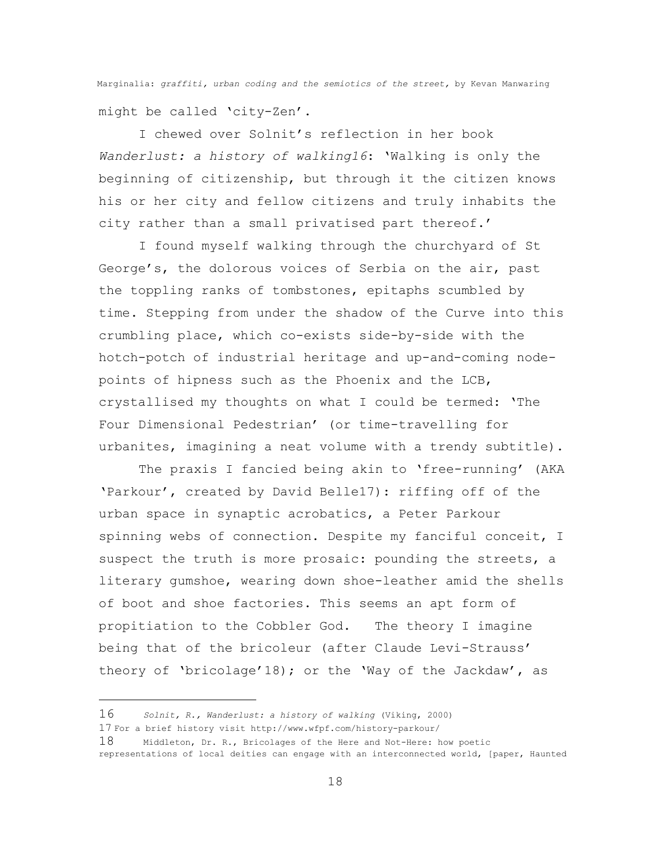Marginalia: *graffiti, urban coding and the semiotics of the street,* by Kevan Manwaring might be called 'city-Zen'.

I chewed over Solnit's reflection in her book *Wanderlust: a history of walking16*: 'Walking is only the beginning of citizenship, but through it the citizen knows his or her city and fellow citizens and truly inhabits the city rather than a small privatised part thereof.'

I found myself walking through the churchyard of St George's, the dolorous voices of Serbia on the air, past the toppling ranks of tombstones, epitaphs scumbled by time. Stepping from under the shadow of the Curve into this crumbling place, which co-exists side-by-side with the hotch-potch of industrial heritage and up-and-coming nodepoints of hipness such as the Phoenix and the LCB, crystallised my thoughts on what I could be termed: 'The Four Dimensional Pedestrian' (or time-travelling for urbanites, imagining a neat volume with a trendy subtitle).

The praxis I fancied being akin to 'free-running' (AKA 'Parkour', created by David Belle17): riffing off of the urban space in synaptic acrobatics, a Peter Parkour spinning webs of connection. Despite my fanciful conceit, I suspect the truth is more prosaic: pounding the streets, a literary gumshoe, wearing down shoe-leather amid the shells of boot and shoe factories. This seems an apt form of propitiation to the Cobbler God. The theory I imagine being that of the bricoleur (after Claude Levi-Strauss' theory of 'bricolage'18); or the 'Way of the Jackdaw', as

i<br>L

<sup>16</sup> *Solnit, R., Wanderlust: a history of walking* (Viking, 2000)

<sup>17</sup> For a brief history visit http://www.wfpf.com/history-parkour/

<sup>18</sup> Middleton, Dr. R., Bricolages of the Here and Not-Here: how poetic representations of local deities can engage with an interconnected world, [paper, Haunted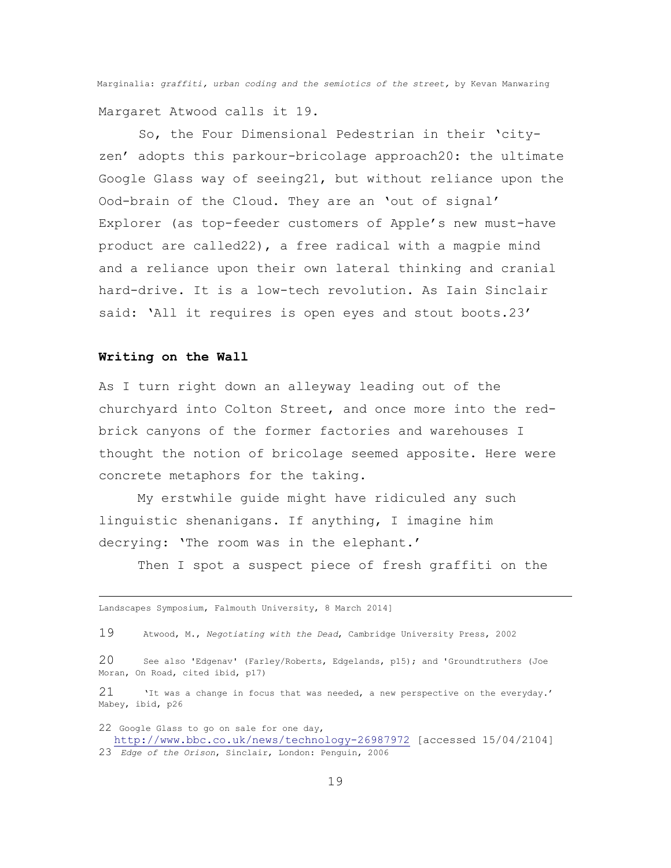Marginalia: *graffiti, urban coding and the semiotics of the street,* by Kevan Manwaring Margaret Atwood calls it 19.

So, the Four Dimensional Pedestrian in their 'cityzen' adopts this parkour-bricolage approach20: the ultimate Google Glass way of seeing21, but without reliance upon the Ood-brain of the Cloud. They are an 'out of signal' Explorer (as top-feeder customers of Apple's new must-have product are called22), a free radical with a magpie mind and a reliance upon their own lateral thinking and cranial hard-drive. It is a low-tech revolution. As Iain Sinclair said: 'All it requires is open eyes and stout boots.23'

## **Writing on the Wall**

L,

As I turn right down an alleyway leading out of the churchyard into Colton Street, and once more into the redbrick canyons of the former factories and warehouses I thought the notion of bricolage seemed apposite. Here were concrete metaphors for the taking.

My erstwhile guide might have ridiculed any such linguistic shenanigans. If anything, I imagine him decrying: 'The room was in the elephant.'

Then I spot a suspect piece of fresh graffiti on the

Landscapes Symposium, Falmouth University, 8 March 2014]

21 'It was a change in focus that was needed, a new perspective on the everyday.' Mabey, ibid, p26

22 Google Glass to go on sale for one day, <http://www.bbc.co.uk/news/technology-26987972> [accessed 15/04/2104] 23 *Edge of the Orison*, Sinclair, London: Penguin, 2006

<sup>19</sup> Atwood, M., *Negotiating with the Dead*, Cambridge University Press, 2002

<sup>20</sup> See also 'Edgenav' (Farley/Roberts, Edgelands, p15); and 'Groundtruthers (Joe Moran, On Road, cited ibid, p17)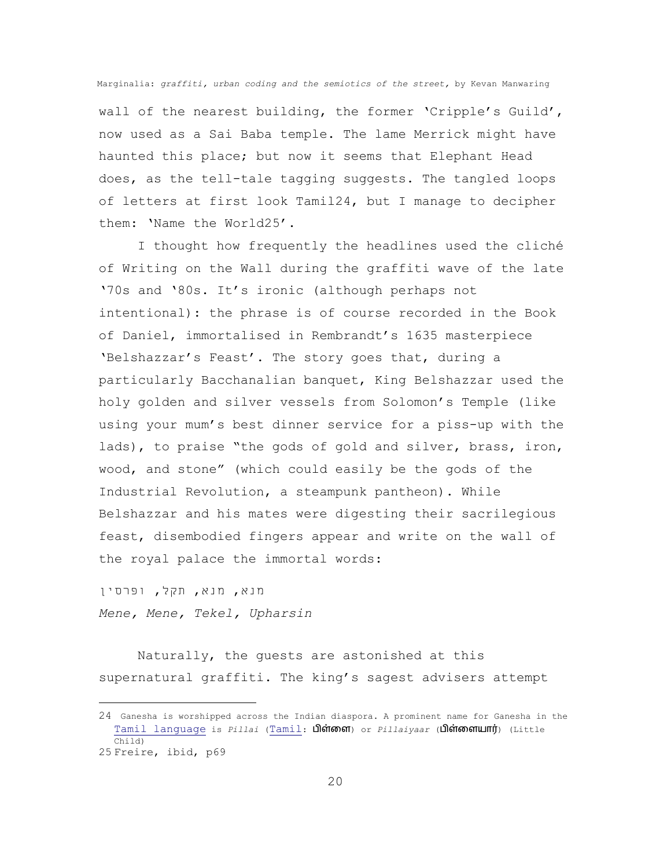wall of the nearest building, the former 'Cripple's Guild', now used as a Sai Baba temple. The lame Merrick might have haunted this place; but now it seems that Elephant Head does, as the tell-tale tagging suggests. The tangled loops of letters at first look Tamil24, but I manage to decipher them: 'Name the World25'.

I thought how frequently the headlines used the cliché of Writing on the Wall during the graffiti wave of the late '70s and '80s. It's ironic (although perhaps not intentional): the phrase is of course recorded in the Book of Daniel, immortalised in Rembrandt's 1635 masterpiece 'Belshazzar's Feast'. The story goes that, during a particularly Bacchanalian banquet, King Belshazzar used the holy golden and silver vessels from Solomon's Temple (like using your mum's best dinner service for a piss-up with the lads), to praise "the gods of gold and silver, brass, iron, wood, and stone" (which could easily be the gods of the Industrial Revolution, a steampunk pantheon). While Belshazzar and his mates were digesting their sacrilegious feast, disembodied fingers appear and write on the wall of the royal palace the immortal words:

מנא, מנא, תקל, ופרסין *Mene, Mene, Tekel, Upharsin*

i<br>L

Naturally, the guests are astonished at this supernatural graffiti. The king's sagest advisers attempt

<sup>24</sup> Ganesha is worshipped across the Indian diaspora. A prominent name for Ganesha in the [Tamil language](http://en.wikipedia.org/wiki/Tamil_language) is *Pillai* ([Tamil](http://en.wikipedia.org/wiki/Tamil_language): பிள்ளை) or *Pillaiyaar* (பிள்ளையார்) (Little Child) 25 Freire, ibid, p69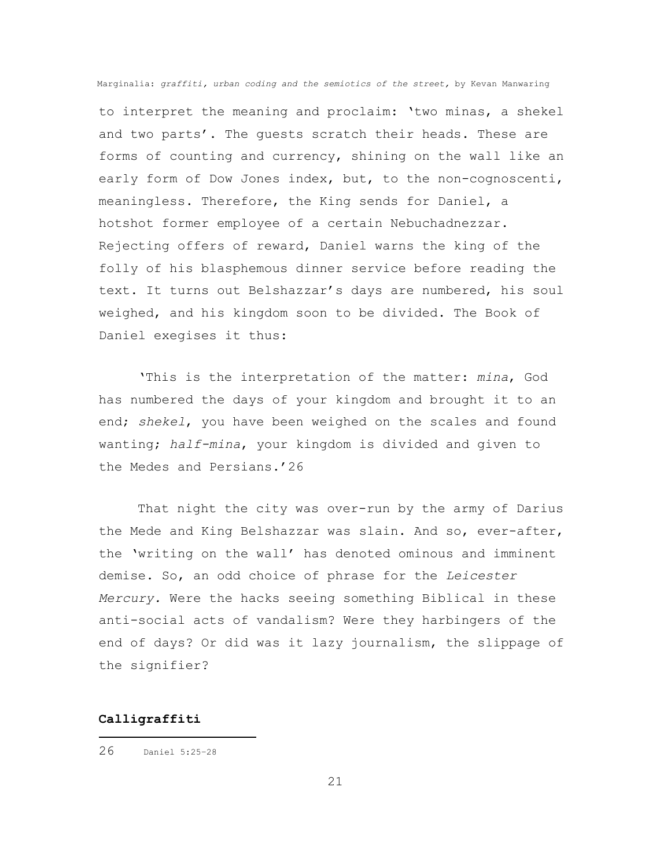to interpret the meaning and proclaim: 'two minas, a shekel and two parts'. The guests scratch their heads. These are forms of counting and currency, shining on the wall like an early form of Dow Jones index, but, to the non-cognoscenti, meaningless. Therefore, the King sends for Daniel, a hotshot former employee of a certain Nebuchadnezzar. Rejecting offers of reward, Daniel warns the king of the folly of his blasphemous dinner service before reading the text. It turns out Belshazzar's days are numbered, his soul weighed, and his kingdom soon to be divided. The Book of Daniel exegises it thus:

'This is the interpretation of the matter: *mina*, God has numbered the days of your kingdom and brought it to an end; *shekel*, you have been weighed on the scales and found wanting; *half-mina*, your kingdom is divided and given to the Medes and Persians.'26

That night the city was over-run by the army of Darius the Mede and King Belshazzar was slain. And so, ever-after, the 'writing on the wall' has denoted ominous and imminent demise. So, an odd choice of phrase for the *Leicester Mercury.* Were the hacks seeing something Biblical in these anti-social acts of vandalism? Were they harbingers of the end of days? Or did was it lazy journalism, the slippage of the signifier?

#### **Calligraffiti**

i<br>L

<sup>26</sup> Daniel 5:25–<sup>28</sup>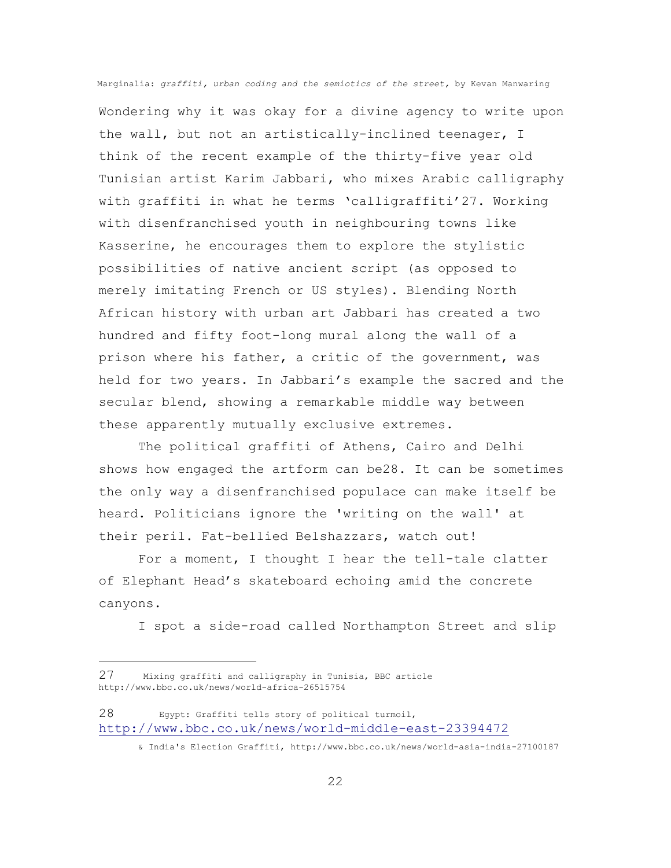Wondering why it was okay for a divine agency to write upon the wall, but not an artistically-inclined teenager, I think of the recent example of the thirty-five year old Tunisian artist Karim Jabbari, who mixes Arabic calligraphy with graffiti in what he terms 'calligraffiti'27. Working with disenfranchised youth in neighbouring towns like Kasserine, he encourages them to explore the stylistic possibilities of native ancient script (as opposed to merely imitating French or US styles). Blending North African history with urban art Jabbari has created a two hundred and fifty foot-long mural along the wall of a prison where his father, a critic of the government, was held for two years. In Jabbari's example the sacred and the secular blend, showing a remarkable middle way between these apparently mutually exclusive extremes.

The political graffiti of Athens, Cairo and Delhi shows how engaged the artform can be28. It can be sometimes the only way a disenfranchised populace can make itself be heard. Politicians ignore the 'writing on the wall' at their peril. Fat-bellied Belshazzars, watch out!

For a moment, I thought I hear the tell-tale clatter of Elephant Head's skateboard echoing amid the concrete canyons.

I spot a side-road called Northampton Street and slip

i<br>L

<sup>27</sup> Mixing graffiti and calligraphy in Tunisia, BBC article http://www.bbc.co.uk/news/world-africa-26515754

<sup>28</sup> Egypt: Graffiti tells story of political turmoil, <http://www.bbc.co.uk/news/world-middle-east-23394472>

<sup>&</sup>amp; India's Election Graffiti, http://www.bbc.co.uk/news/world-asia-india-27100187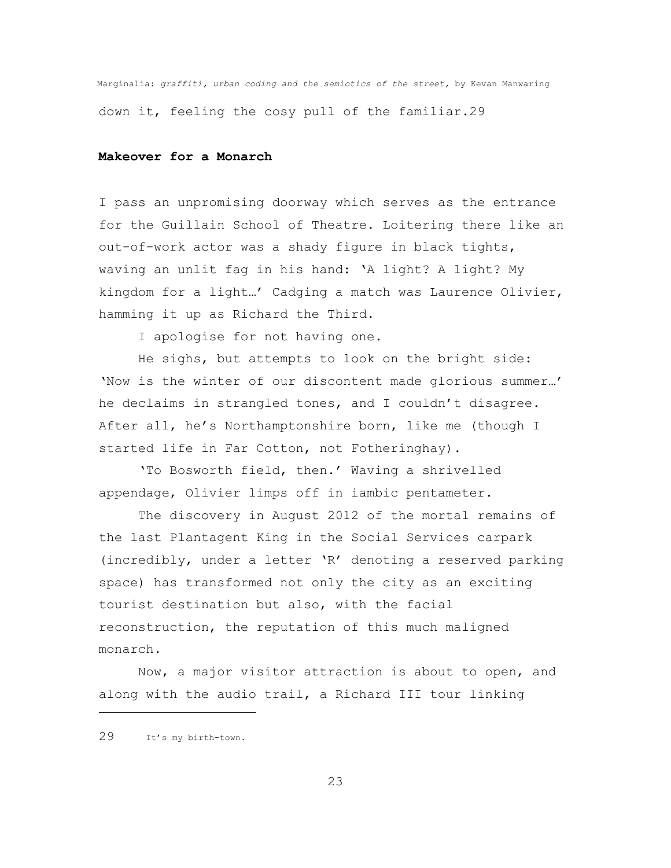Marginalia: *graffiti, urban coding and the semiotics of the street,* by Kevan Manwaring down it, feeling the cosy pull of the familiar.29

# **Makeover for a Monarch**

I pass an unpromising doorway which serves as the entrance for the Guillain School of Theatre. Loitering there like an out-of-work actor was a shady figure in black tights, waving an unlit fag in his hand: 'A light? A light? My kingdom for a light…' Cadging a match was Laurence Olivier, hamming it up as Richard the Third.

I apologise for not having one.

He sighs, but attempts to look on the bright side: 'Now is the winter of our discontent made glorious summer…' he declaims in strangled tones, and I couldn't disagree. After all, he's Northamptonshire born, like me (though I started life in Far Cotton, not Fotheringhay).

'To Bosworth field, then.' Waving a shrivelled appendage, Olivier limps off in iambic pentameter.

The discovery in August 2012 of the mortal remains of the last Plantagent King in the Social Services carpark (incredibly, under a letter 'R' denoting a reserved parking space) has transformed not only the city as an exciting tourist destination but also, with the facial reconstruction, the reputation of this much maligned monarch.

Now, a major visitor attraction is about to open, and along with the audio trail, a Richard III tour linking

L,

<sup>29</sup> It's my birth-town.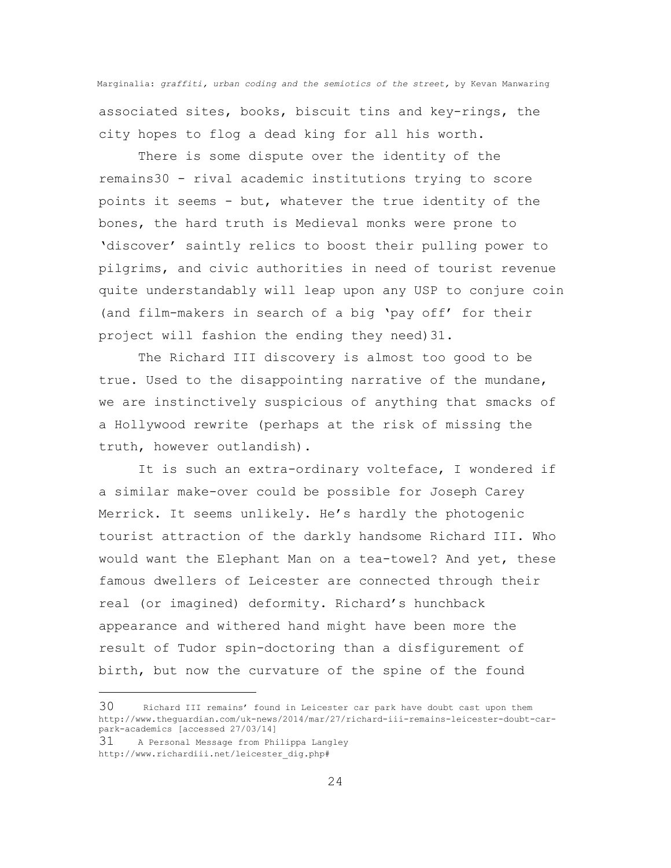Marginalia: *graffiti, urban coding and the semiotics of the street,* by Kevan Manwaring associated sites, books, biscuit tins and key-rings, the city hopes to flog a dead king for all his worth.

There is some dispute over the identity of the remains30 - rival academic institutions trying to score points it seems - but, whatever the true identity of the bones, the hard truth is Medieval monks were prone to 'discover' saintly relics to boost their pulling power to pilgrims, and civic authorities in need of tourist revenue quite understandably will leap upon any USP to conjure coin (and film-makers in search of a big 'pay off' for their project will fashion the ending they need)31.

The Richard III discovery is almost too good to be true. Used to the disappointing narrative of the mundane, we are instinctively suspicious of anything that smacks of a Hollywood rewrite (perhaps at the risk of missing the truth, however outlandish).

It is such an extra-ordinary volteface, I wondered if a similar make-over could be possible for Joseph Carey Merrick. It seems unlikely. He's hardly the photogenic tourist attraction of the darkly handsome Richard III. Who would want the Elephant Man on a tea-towel? And yet, these famous dwellers of Leicester are connected through their real (or imagined) deformity. Richard's hunchback appearance and withered hand might have been more the result of Tudor spin-doctoring than a disfigurement of birth, but now the curvature of the spine of the found

31 A Personal Message from Philippa Langley http://www.richardiii.net/leicester\_dig.php#

i<br>L

<sup>30</sup> Richard III remains' found in Leicester car park have doubt cast upon them http://www.theguardian.com/uk-news/2014/mar/27/richard-iii-remains-leicester-doubt-carpark-academics [accessed 27/03/14]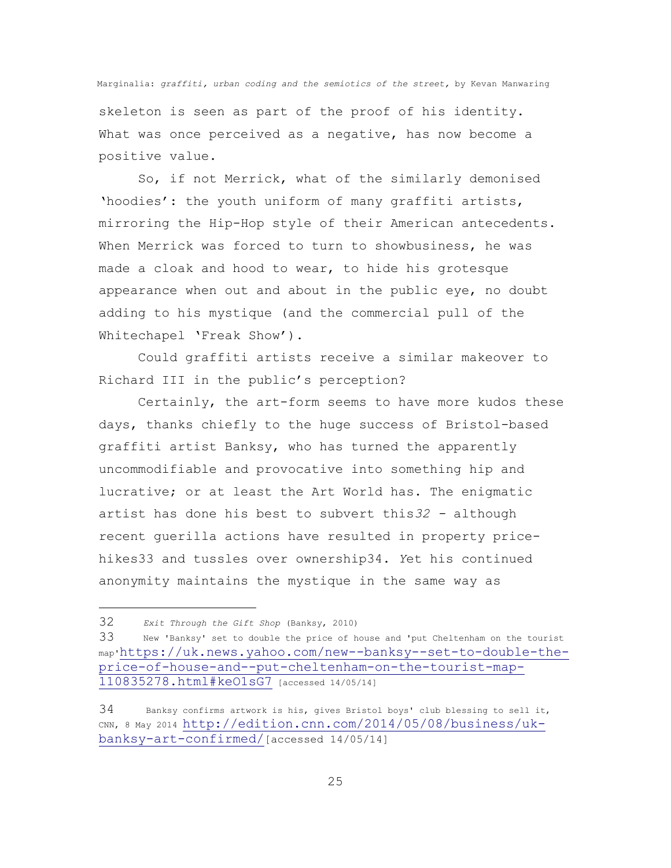skeleton is seen as part of the proof of his identity. What was once perceived as a negative, has now become a positive value.

So, if not Merrick, what of the similarly demonised 'hoodies': the youth uniform of many graffiti artists, mirroring the Hip-Hop style of their American antecedents. When Merrick was forced to turn to showbusiness, he was made a cloak and hood to wear, to hide his grotesque appearance when out and about in the public eye, no doubt adding to his mystique (and the commercial pull of the Whitechapel 'Freak Show').

Could graffiti artists receive a similar makeover to Richard III in the public's perception?

Certainly, the art-form seems to have more kudos these days, thanks chiefly to the huge success of Bristol-based graffiti artist Banksy, who has turned the apparently uncommodifiable and provocative into something hip and lucrative; or at least the Art World has. The enigmatic artist has done his best to subvert this*32 -* although recent guerilla actions have resulted in property pricehikes33 and tussles over ownership34. *Y*et his continued anonymity maintains the mystique in the same way as

i<br>L

<sup>32</sup> *Exit Through the Gift Shop* (Banksy, 2010)

<sup>33</sup> New 'Banksy' set to double the price of house and 'put Cheltenham on the tourist map'[https://uk.news.yahoo.com/new--banksy--set-to-double-the](https://uk.news.yahoo.com/new--banksy--set-to-double-the-price-of-house-and--put-cheltenham-on-the-tourist-map-110835278.html#keO1sG7)[price-of-house-and--put-cheltenham-on-the-tourist-map-](https://uk.news.yahoo.com/new--banksy--set-to-double-the-price-of-house-and--put-cheltenham-on-the-tourist-map-110835278.html#keO1sG7)[110835278.html#keO1sG7](https://uk.news.yahoo.com/new--banksy--set-to-double-the-price-of-house-and--put-cheltenham-on-the-tourist-map-110835278.html#keO1sG7) [accessed 14/05/14]

<sup>34</sup> Banksy confirms artwork is his, gives Bristol boys' club blessing to sell it, CNN, 8 May 2014 [http://edition.cnn.com/2014/05/08/business/uk](http://edition.cnn.com/2014/05/08/business/uk-banksy-art-confirmed/)[banksy-art-confirmed/](http://edition.cnn.com/2014/05/08/business/uk-banksy-art-confirmed/)[accessed 14/05/14]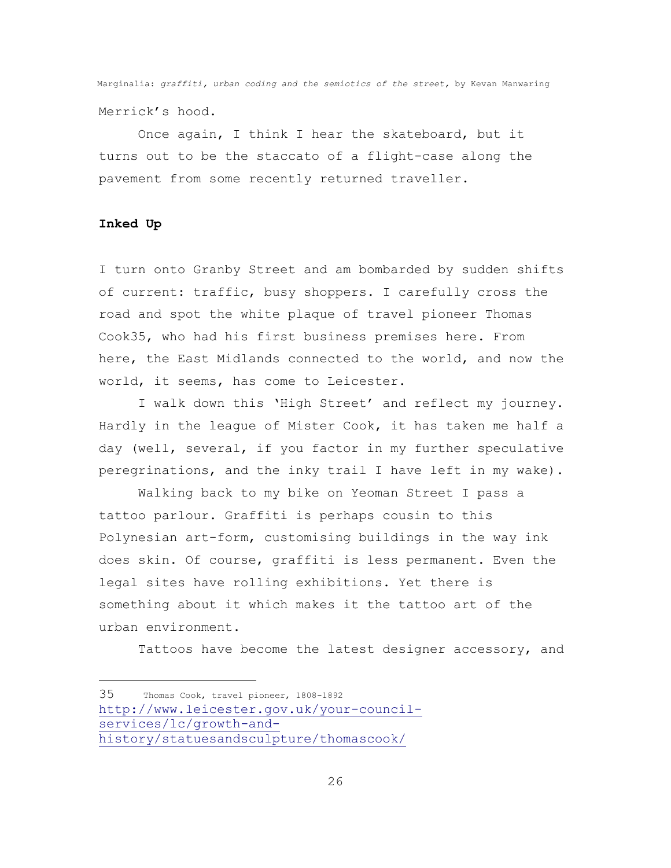Once again, I think I hear the skateboard, but it turns out to be the staccato of a flight-case along the pavement from some recently returned traveller.

# **Inked Up**

i<br>L

I turn onto Granby Street and am bombarded by sudden shifts of current: traffic, busy shoppers. I carefully cross the road and spot the white plaque of travel pioneer Thomas Cook35, who had his first business premises here. From here, the East Midlands connected to the world, and now the world, it seems, has come to Leicester.

I walk down this 'High Street' and reflect my journey. Hardly in the league of Mister Cook, it has taken me half a day (well, several, if you factor in my further speculative peregrinations, and the inky trail I have left in my wake).

Walking back to my bike on Yeoman Street I pass a tattoo parlour. Graffiti is perhaps cousin to this Polynesian art-form, customising buildings in the way ink does skin. Of course, graffiti is less permanent. Even the legal sites have rolling exhibitions. Yet there is something about it which makes it the tattoo art of the urban environment.

Tattoos have become the latest designer accessory, and

<sup>35</sup> Thomas Cook, travel pioneer, 1808-1892 [http://www.leicester.gov.uk/your-council](http://www.leicester.gov.uk/your-council-services/lc/growth-and-history/statuesandsculpture/thomascook/)[services/lc/growth-and](http://www.leicester.gov.uk/your-council-services/lc/growth-and-history/statuesandsculpture/thomascook/)[history/statuesandsculpture/thomascook/](http://www.leicester.gov.uk/your-council-services/lc/growth-and-history/statuesandsculpture/thomascook/)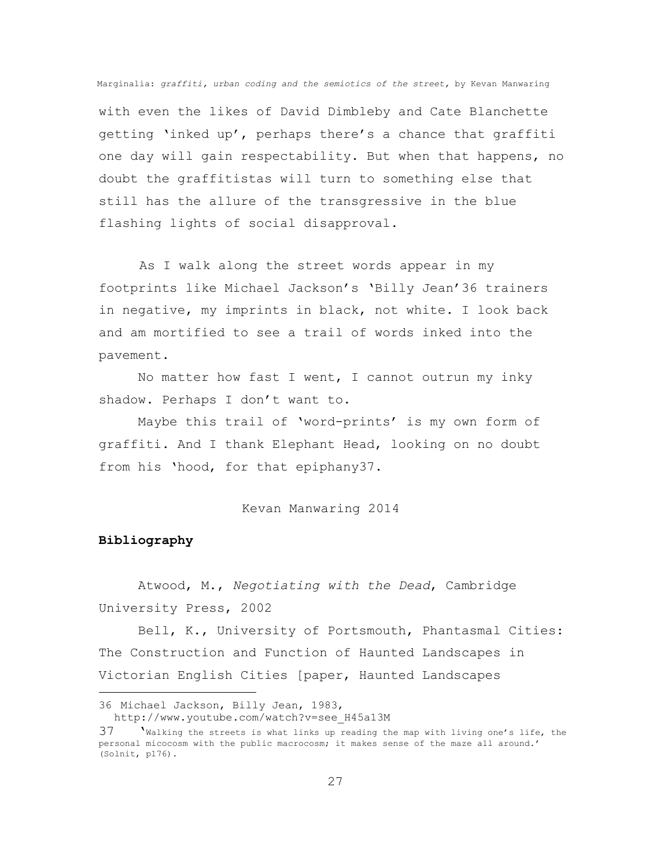with even the likes of David Dimbleby and Cate Blanchette getting 'inked up', perhaps there's a chance that graffiti one day will gain respectability. But when that happens, no doubt the graffitistas will turn to something else that still has the allure of the transgressive in the blue flashing lights of social disapproval.

As I walk along the street words appear in my footprints like Michael Jackson's 'Billy Jean'36 trainers in negative, my imprints in black, not white. I look back and am mortified to see a trail of words inked into the pavement.

No matter how fast I went, I cannot outrun my inky shadow. Perhaps I don't want to.

Maybe this trail of 'word-prints' is my own form of graffiti. And I thank Elephant Head, looking on no doubt from his 'hood, for that epiphany37.

#### Kevan Manwaring 2014

## **Bibliography**

i<br>L

 Atwood, M., *Negotiating with the Dead*, Cambridge University Press, 2002

Bell, K., University of Portsmouth, Phantasmal Cities: The Construction and Function of Haunted Landscapes in Victorian English Cities [paper, Haunted Landscapes

<sup>36</sup> Michael Jackson, Billy Jean, 1983, http://www.youtube.com/watch?v=see\_H45a13M

<sup>37</sup> 'Walking the streets is what links up reading the map with living one's life, the personal micocosm with the public macrocosm; it makes sense of the maze all around.' (Solnit, p176).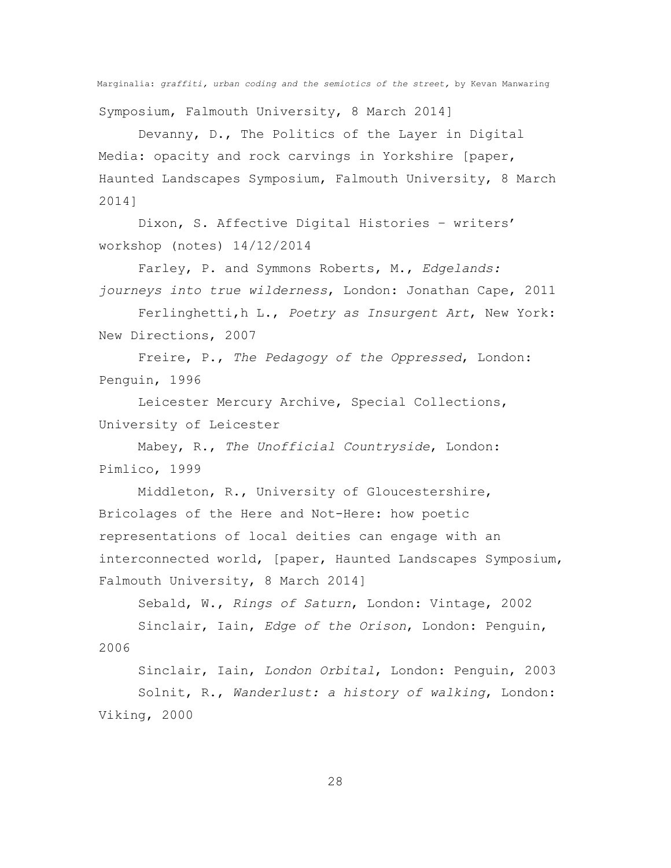Marginalia: *graffiti, urban coding and the semiotics of the street,* by Kevan Manwaring Symposium, Falmouth University, 8 March 2014]

Devanny, D., The Politics of the Layer in Digital Media: opacity and rock carvings in Yorkshire [paper, Haunted Landscapes Symposium, Falmouth University, 8 March 2014]

Dixon, S. Affective Digital Histories – writers' workshop (notes) 14/12/2014

Farley, P. and Symmons Roberts, M., *Edgelands: journeys into true wilderness*, London: Jonathan Cape, 2011

Ferlinghetti,h L., *Poetry as Insurgent Art*, New York: New Directions, 2007

Freire, P., *The Pedagogy of the Oppressed*, London: Penguin, 1996

Leicester Mercury Archive, Special Collections, University of Leicester

Mabey, R., *The Unofficial Countryside*, London: Pimlico, 1999

Middleton, R., University of Gloucestershire, Bricolages of the Here and Not-Here: how poetic representations of local deities can engage with an interconnected world, [paper, Haunted Landscapes Symposium, Falmouth University, 8 March 2014]

Sebald, W., *Rings of Saturn*, London: Vintage, 2002

Sinclair, Iain, *Edge of the Orison*, London: Penguin, 2006

Sinclair, Iain, *London Orbital*, London: Penguin, 2003 Solnit, R., *Wanderlust: a history of walking*, London: Viking, 2000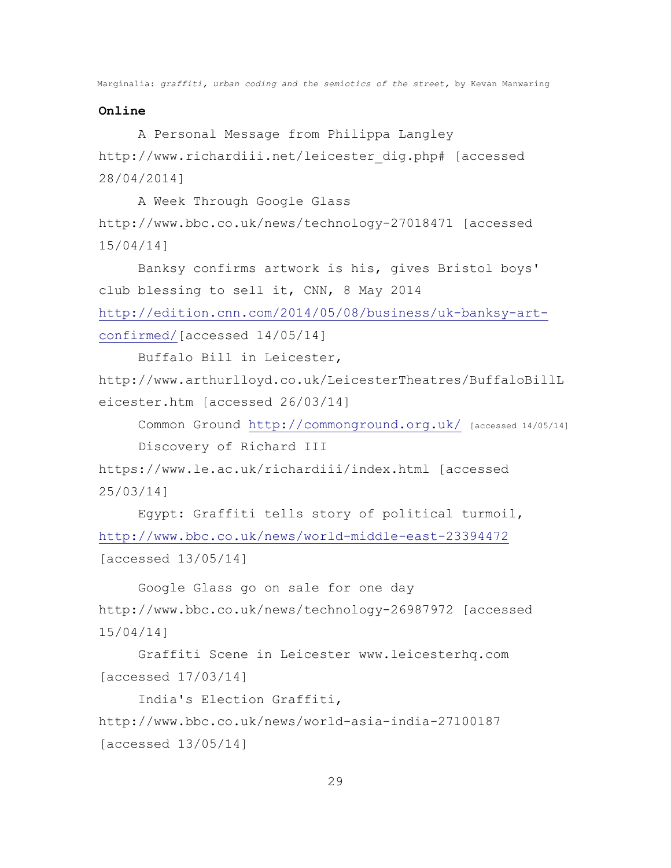## **Online**

 A Personal Message from Philippa Langley http://www.richardiii.net/leicester\_dig.php# [accessed 28/04/2014]

A Week Through Google Glass

http://www.bbc.co.uk/news/technology-27018471 [accessed 15/04/14]

Banksy confirms artwork is his, gives Bristol boys' club blessing to sell it, CNN, 8 May 2014 [http://edition.cnn.com/2014/05/08/business/uk-banksy-art-](http://edition.cnn.com/2014/05/08/business/uk-banksy-art-confirmed/)

[confirmed/\[](http://edition.cnn.com/2014/05/08/business/uk-banksy-art-confirmed/)accessed 14/05/14]

Buffalo Bill in Leicester,

http://www.arthurlloyd.co.uk/LeicesterTheatres/BuffaloBillL eicester.htm [accessed 26/03/14]

Common Ground<http://commonground.org.uk/> [accessed 14/05/14]

Discovery of Richard III

https://www.le.ac.uk/richardiii/index.html [accessed 25/03/14]

Egypt: Graffiti tells story of political turmoil, <http://www.bbc.co.uk/news/world-middle-east-23394472> [accessed 13/05/14]

Google Glass go on sale for one day http://www.bbc.co.uk/news/technology-26987972 [accessed 15/04/14]

Graffiti Scene in Leicester www.leicesterhq.com [accessed 17/03/14]

India's Election Graffiti,

http://www.bbc.co.uk/news/world-asia-india-27100187 [accessed 13/05/14]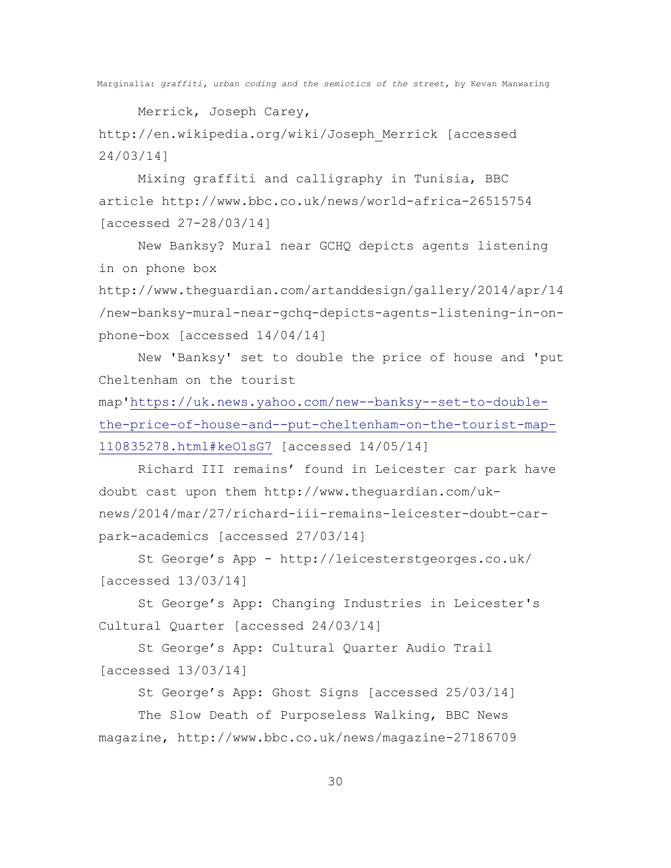Merrick, Joseph Carey,

http://en.wikipedia.org/wiki/Joseph\_Merrick [accessed 24/03/14]

Mixing graffiti and calligraphy in Tunisia, BBC article http://www.bbc.co.uk/news/world-africa-26515754 [accessed 27-28/03/14]

New Banksy? Mural near GCHQ depicts agents listening in on phone box

http://www.theguardian.com/artanddesign/gallery/2014/apr/14 /new-banksy-mural-near-gchq-depicts-agents-listening-in-onphone-box [accessed 14/04/14]

New 'Banksy' set to double the price of house and 'put Cheltenham on the tourist

map'[https://uk.news.yahoo.com/new--banksy--set-to-double](https://uk.news.yahoo.com/new--banksy--set-to-double-the-price-of-house-and--put-cheltenham-on-the-tourist-map-110835278.html#keO1sG7)[the-price-of-house-and--put-cheltenham-on-the-tourist-map-](https://uk.news.yahoo.com/new--banksy--set-to-double-the-price-of-house-and--put-cheltenham-on-the-tourist-map-110835278.html#keO1sG7)[110835278.html#keO1sG7](https://uk.news.yahoo.com/new--banksy--set-to-double-the-price-of-house-and--put-cheltenham-on-the-tourist-map-110835278.html#keO1sG7) [accessed 14/05/14]

Richard III remains' found in Leicester car park have doubt cast upon them http://www.theguardian.com/uknews/2014/mar/27/richard-iii-remains-leicester-doubt-carpark-academics [accessed 27/03/14]

St George's App - http://leicesterstgeorges.co.uk/ [accessed 13/03/14]

St George's App: Changing Industries in Leicester's Cultural Quarter [accessed 24/03/14]

St George's App: Cultural Quarter Audio Trail [accessed 13/03/14]

St George's App: Ghost Signs [accessed 25/03/14] The Slow Death of Purposeless Walking, BBC News magazine, http://www.bbc.co.uk/news/magazine-27186709